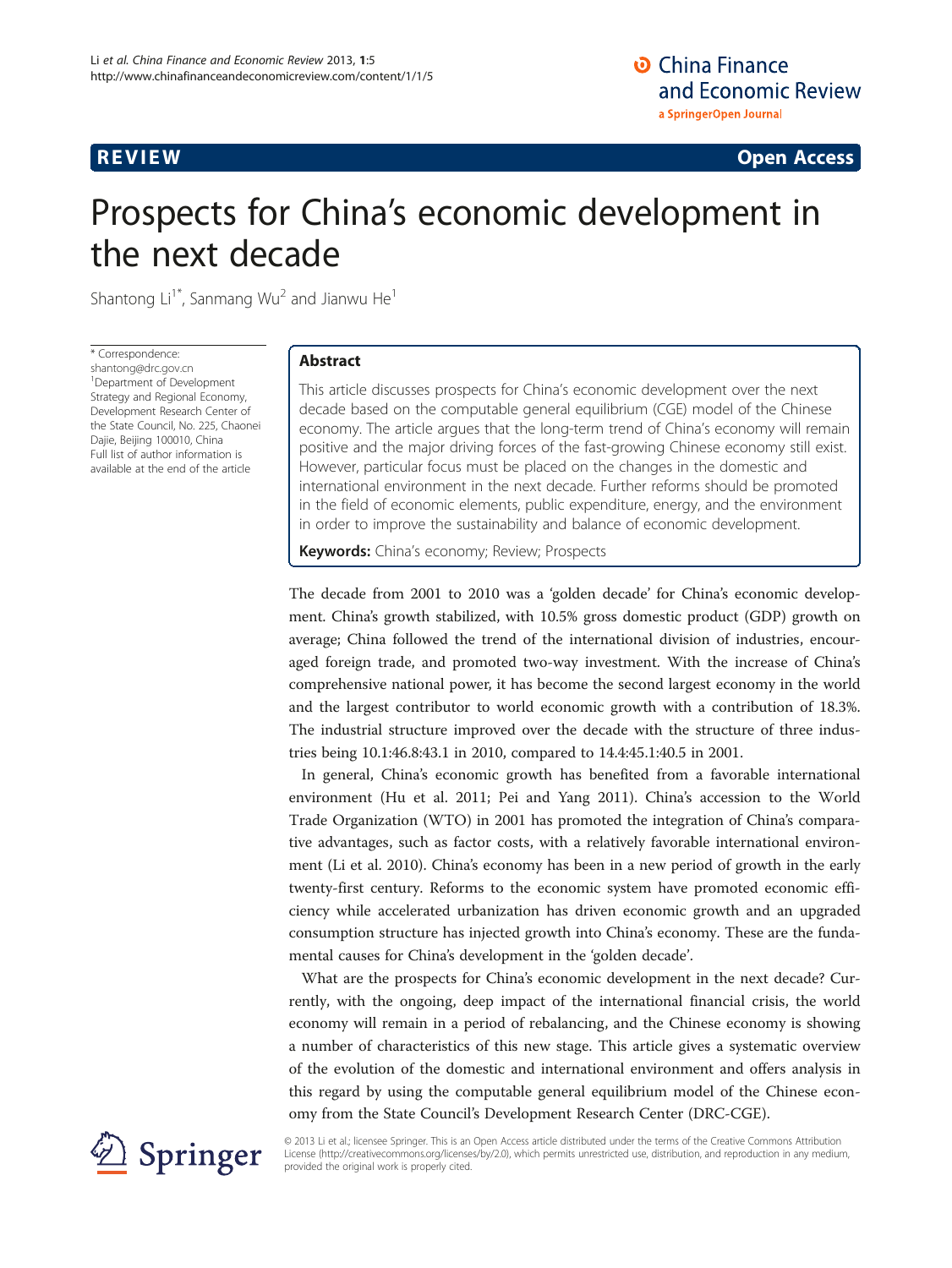**REVIEW CONSTRUCTION CONSTRUCTION CONSTRUCTS** 

# Prospects for China's economic development in the next decade

Shantong  $Li^{1*}$ , Sanmang Wu<sup>2</sup> and Jianwu He<sup>1</sup>

\* Correspondence: [shantong@drc.gov.cn](mailto:shantong@drc.gov.cn) 1 Department of Development Strategy and Regional Economy, Development Research Center of the State Council, No. 225, Chaonei Dajie, Beijing 100010, China Full list of author information is available at the end of the article

## Abstract

This article discusses prospects for China's economic development over the next decade based on the computable general equilibrium (CGE) model of the Chinese economy. The article argues that the long-term trend of China's economy will remain positive and the major driving forces of the fast-growing Chinese economy still exist. However, particular focus must be placed on the changes in the domestic and international environment in the next decade. Further reforms should be promoted in the field of economic elements, public expenditure, energy, and the environment in order to improve the sustainability and balance of economic development.

Keywords: China's economy; Review; Prospects

The decade from 2001 to 2010 was a 'golden decade' for China's economic development. China's growth stabilized, with 10.5% gross domestic product (GDP) growth on average; China followed the trend of the international division of industries, encouraged foreign trade, and promoted two-way investment. With the increase of China's comprehensive national power, it has become the second largest economy in the world and the largest contributor to world economic growth with a contribution of 18.3%. The industrial structure improved over the decade with the structure of three industries being 10.1:46.8:43.1 in 2010, compared to 14.4:45.1:40.5 in 2001.

In general, China's economic growth has benefited from a favorable international environment (Hu et al. [2011;](#page-10-0) Pei and Yang [2011\)](#page-11-0). China's accession to the World Trade Organization (WTO) in 2001 has promoted the integration of China's comparative advantages, such as factor costs, with a relatively favorable international environment (Li et al. [2010\)](#page-10-0). China's economy has been in a new period of growth in the early twenty-first century. Reforms to the economic system have promoted economic efficiency while accelerated urbanization has driven economic growth and an upgraded consumption structure has injected growth into China's economy. These are the fundamental causes for China's development in the 'golden decade'.

What are the prospects for China's economic development in the next decade? Currently, with the ongoing, deep impact of the international financial crisis, the world economy will remain in a period of rebalancing, and the Chinese economy is showing a number of characteristics of this new stage. This article gives a systematic overview of the evolution of the domestic and international environment and offers analysis in this regard by using the computable general equilibrium model of the Chinese economy from the State Council's Development Research Center (DRC-CGE).



© 2013 Li et al.; licensee Springer. This is an Open Access article distributed under the terms of the Creative Commons Attribution License [\(http://creativecommons.org/licenses/by/2.0\)](http://creativecommons.org/licenses/by/2.0), which permits unrestricted use, distribution, and reproduction in any medium, provided the original work is properly cited.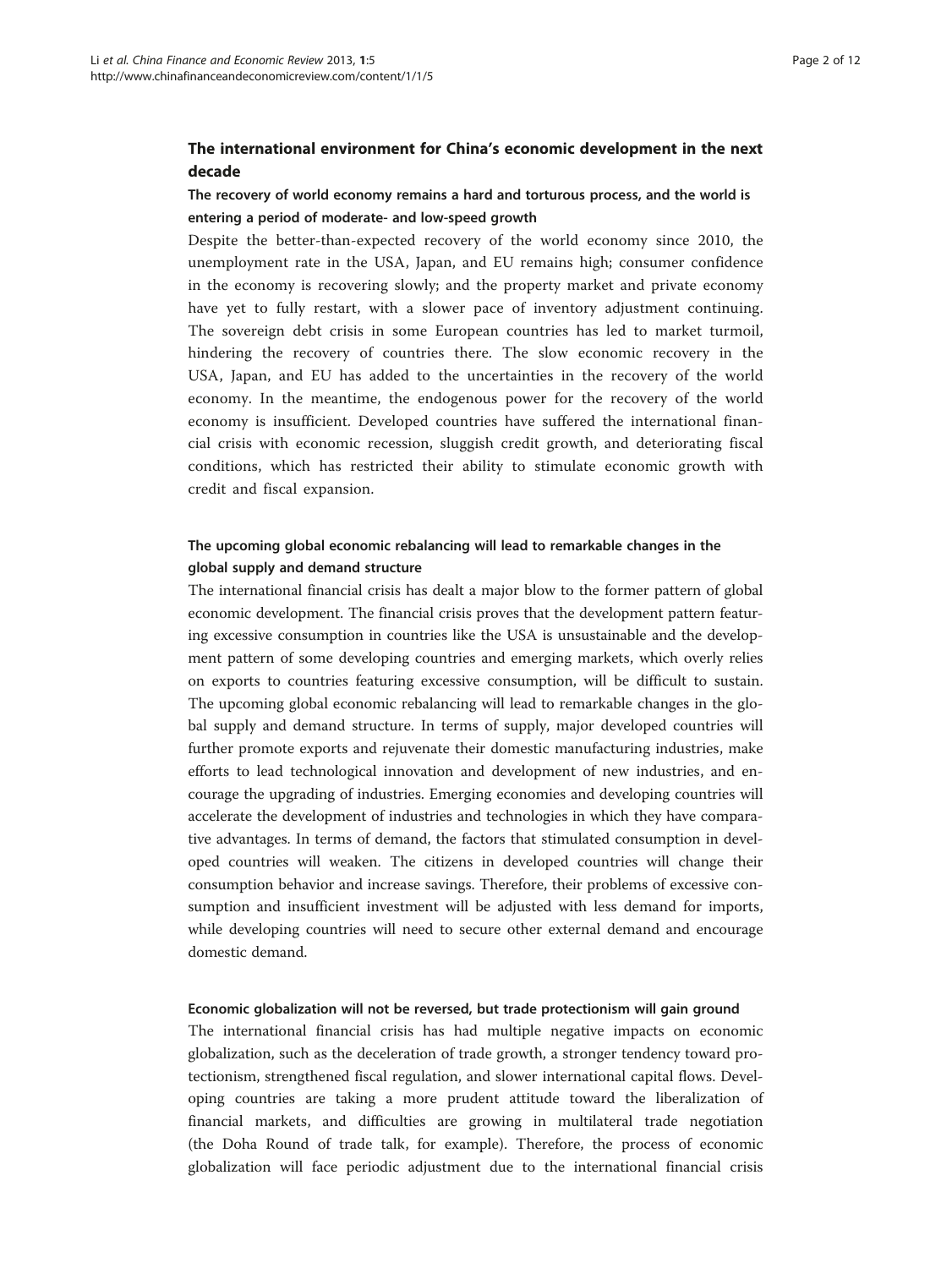# The international environment for China's economic development in the next decade

# The recovery of world economy remains a hard and torturous process, and the world is entering a period of moderate- and low-speed growth

Despite the better-than-expected recovery of the world economy since 2010, the unemployment rate in the USA, Japan, and EU remains high; consumer confidence in the economy is recovering slowly; and the property market and private economy have yet to fully restart, with a slower pace of inventory adjustment continuing. The sovereign debt crisis in some European countries has led to market turmoil, hindering the recovery of countries there. The slow economic recovery in the USA, Japan, and EU has added to the uncertainties in the recovery of the world economy. In the meantime, the endogenous power for the recovery of the world economy is insufficient. Developed countries have suffered the international financial crisis with economic recession, sluggish credit growth, and deteriorating fiscal conditions, which has restricted their ability to stimulate economic growth with credit and fiscal expansion.

# The upcoming global economic rebalancing will lead to remarkable changes in the global supply and demand structure

The international financial crisis has dealt a major blow to the former pattern of global economic development. The financial crisis proves that the development pattern featuring excessive consumption in countries like the USA is unsustainable and the development pattern of some developing countries and emerging markets, which overly relies on exports to countries featuring excessive consumption, will be difficult to sustain. The upcoming global economic rebalancing will lead to remarkable changes in the global supply and demand structure. In terms of supply, major developed countries will further promote exports and rejuvenate their domestic manufacturing industries, make efforts to lead technological innovation and development of new industries, and encourage the upgrading of industries. Emerging economies and developing countries will accelerate the development of industries and technologies in which they have comparative advantages. In terms of demand, the factors that stimulated consumption in developed countries will weaken. The citizens in developed countries will change their consumption behavior and increase savings. Therefore, their problems of excessive consumption and insufficient investment will be adjusted with less demand for imports, while developing countries will need to secure other external demand and encourage domestic demand.

#### Economic globalization will not be reversed, but trade protectionism will gain ground

The international financial crisis has had multiple negative impacts on economic globalization, such as the deceleration of trade growth, a stronger tendency toward protectionism, strengthened fiscal regulation, and slower international capital flows. Developing countries are taking a more prudent attitude toward the liberalization of financial markets, and difficulties are growing in multilateral trade negotiation (the Doha Round of trade talk, for example). Therefore, the process of economic globalization will face periodic adjustment due to the international financial crisis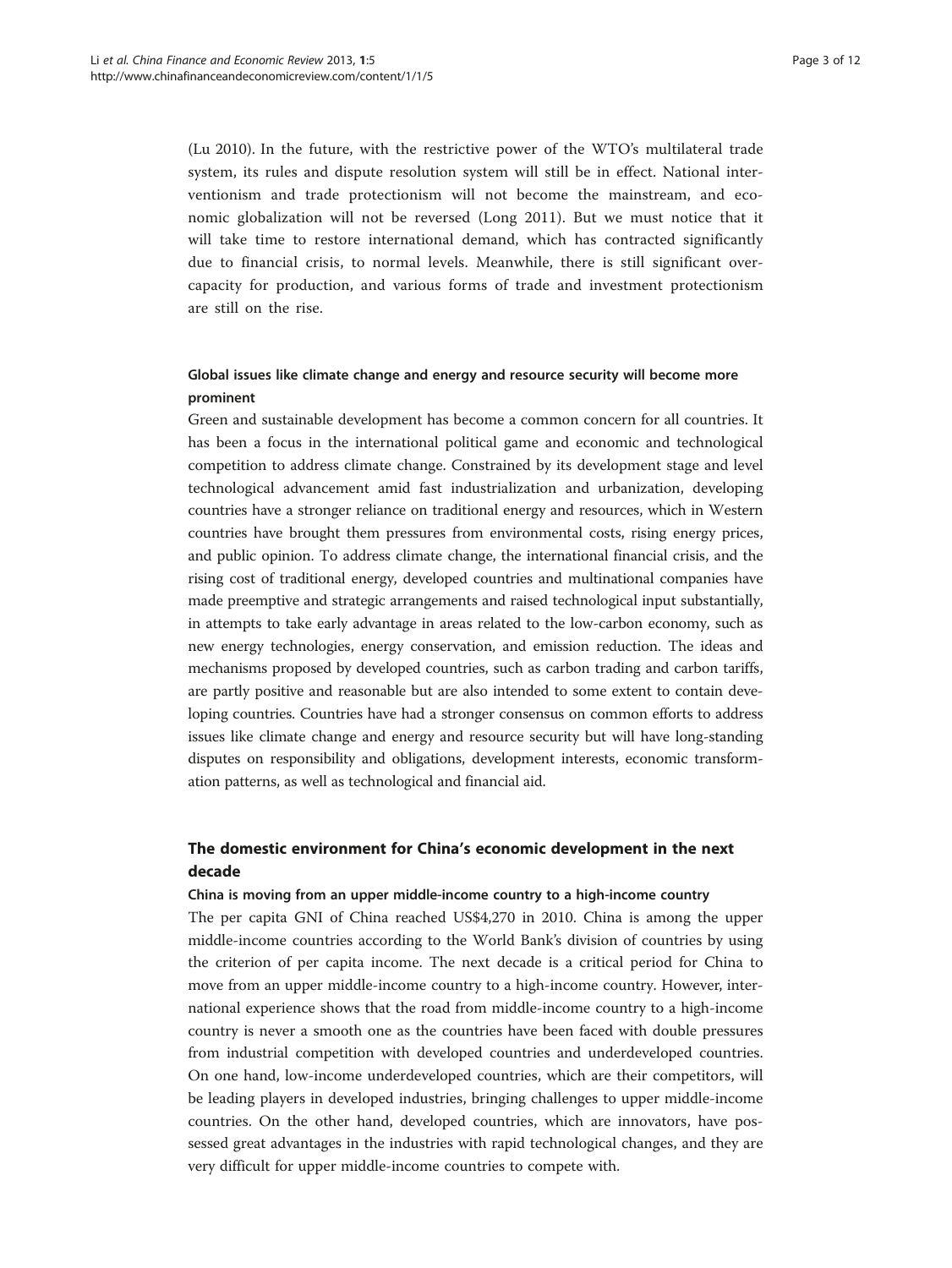(Lu [2010](#page-10-0)). In the future, with the restrictive power of the WTO's multilateral trade system, its rules and dispute resolution system will still be in effect. National interventionism and trade protectionism will not become the mainstream, and economic globalization will not be reversed (Long [2011\)](#page-10-0). But we must notice that it will take time to restore international demand, which has contracted significantly due to financial crisis, to normal levels. Meanwhile, there is still significant overcapacity for production, and various forms of trade and investment protectionism are still on the rise.

# Global issues like climate change and energy and resource security will become more prominent

Green and sustainable development has become a common concern for all countries. It has been a focus in the international political game and economic and technological competition to address climate change. Constrained by its development stage and level technological advancement amid fast industrialization and urbanization, developing countries have a stronger reliance on traditional energy and resources, which in Western countries have brought them pressures from environmental costs, rising energy prices, and public opinion. To address climate change, the international financial crisis, and the rising cost of traditional energy, developed countries and multinational companies have made preemptive and strategic arrangements and raised technological input substantially, in attempts to take early advantage in areas related to the low-carbon economy, such as new energy technologies, energy conservation, and emission reduction. The ideas and mechanisms proposed by developed countries, such as carbon trading and carbon tariffs, are partly positive and reasonable but are also intended to some extent to contain developing countries. Countries have had a stronger consensus on common efforts to address issues like climate change and energy and resource security but will have long-standing disputes on responsibility and obligations, development interests, economic transformation patterns, as well as technological and financial aid.

# The domestic environment for China's economic development in the next decade

#### China is moving from an upper middle-income country to a high-income country

The per capita GNI of China reached US\$4,270 in 2010. China is among the upper middle-income countries according to the World Bank's division of countries by using the criterion of per capita income. The next decade is a critical period for China to move from an upper middle-income country to a high-income country. However, international experience shows that the road from middle-income country to a high-income country is never a smooth one as the countries have been faced with double pressures from industrial competition with developed countries and underdeveloped countries. On one hand, low-income underdeveloped countries, which are their competitors, will be leading players in developed industries, bringing challenges to upper middle-income countries. On the other hand, developed countries, which are innovators, have possessed great advantages in the industries with rapid technological changes, and they are very difficult for upper middle-income countries to compete with.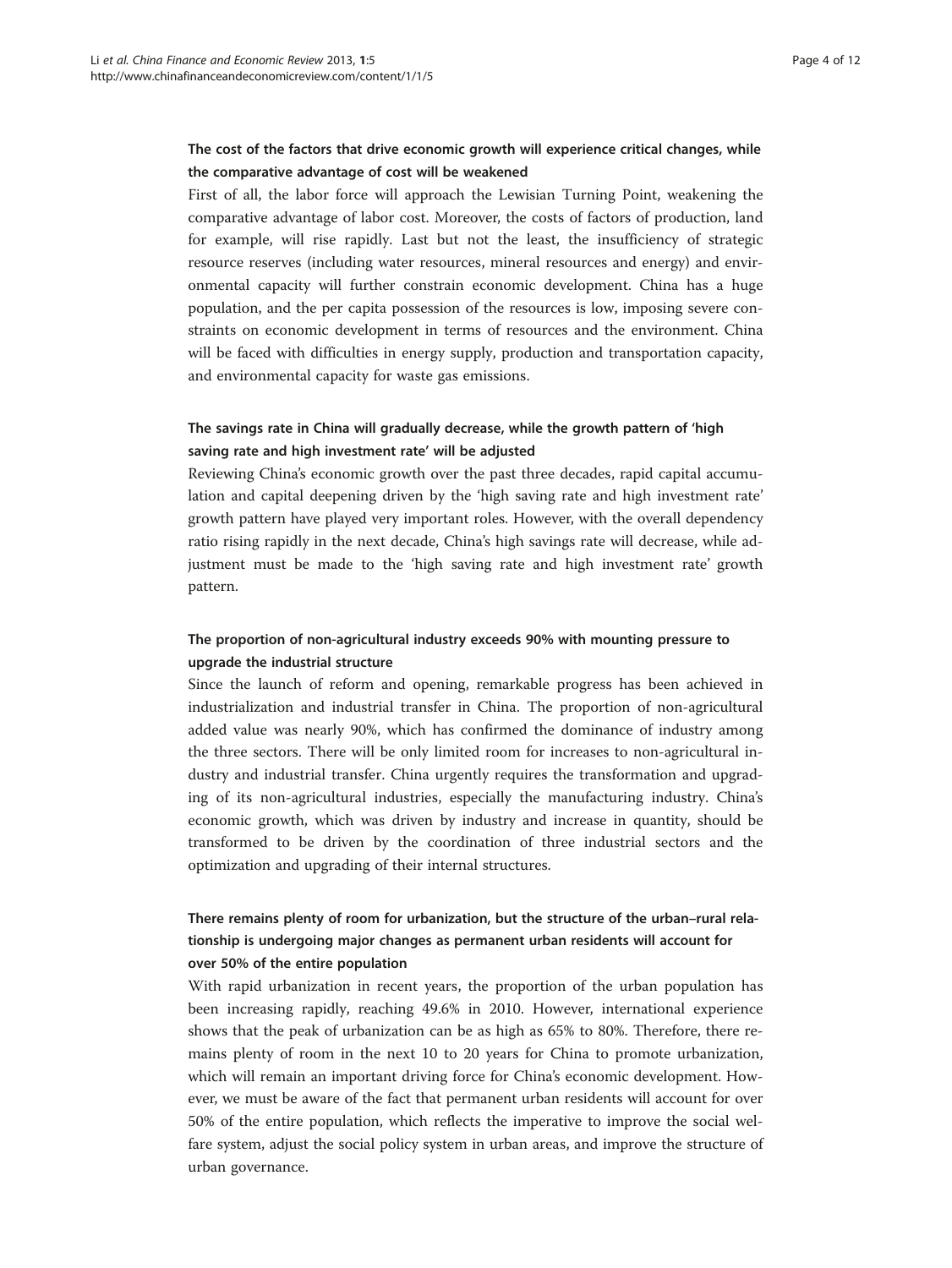# The cost of the factors that drive economic growth will experience critical changes, while the comparative advantage of cost will be weakened

First of all, the labor force will approach the Lewisian Turning Point, weakening the comparative advantage of labor cost. Moreover, the costs of factors of production, land for example, will rise rapidly. Last but not the least, the insufficiency of strategic resource reserves (including water resources, mineral resources and energy) and environmental capacity will further constrain economic development. China has a huge population, and the per capita possession of the resources is low, imposing severe constraints on economic development in terms of resources and the environment. China will be faced with difficulties in energy supply, production and transportation capacity, and environmental capacity for waste gas emissions.

# The savings rate in China will gradually decrease, while the growth pattern of 'high saving rate and high investment rate' will be adjusted

Reviewing China's economic growth over the past three decades, rapid capital accumulation and capital deepening driven by the 'high saving rate and high investment rate' growth pattern have played very important roles. However, with the overall dependency ratio rising rapidly in the next decade, China's high savings rate will decrease, while adjustment must be made to the 'high saving rate and high investment rate' growth pattern.

# The proportion of non-agricultural industry exceeds 90% with mounting pressure to upgrade the industrial structure

Since the launch of reform and opening, remarkable progress has been achieved in industrialization and industrial transfer in China. The proportion of non-agricultural added value was nearly 90%, which has confirmed the dominance of industry among the three sectors. There will be only limited room for increases to non-agricultural industry and industrial transfer. China urgently requires the transformation and upgrading of its non-agricultural industries, especially the manufacturing industry. China's economic growth, which was driven by industry and increase in quantity, should be transformed to be driven by the coordination of three industrial sectors and the optimization and upgrading of their internal structures.

# There remains plenty of room for urbanization, but the structure of the urban–rural relationship is undergoing major changes as permanent urban residents will account for over 50% of the entire population

With rapid urbanization in recent years, the proportion of the urban population has been increasing rapidly, reaching 49.6% in 2010. However, international experience shows that the peak of urbanization can be as high as 65% to 80%. Therefore, there remains plenty of room in the next 10 to 20 years for China to promote urbanization, which will remain an important driving force for China's economic development. However, we must be aware of the fact that permanent urban residents will account for over 50% of the entire population, which reflects the imperative to improve the social welfare system, adjust the social policy system in urban areas, and improve the structure of urban governance.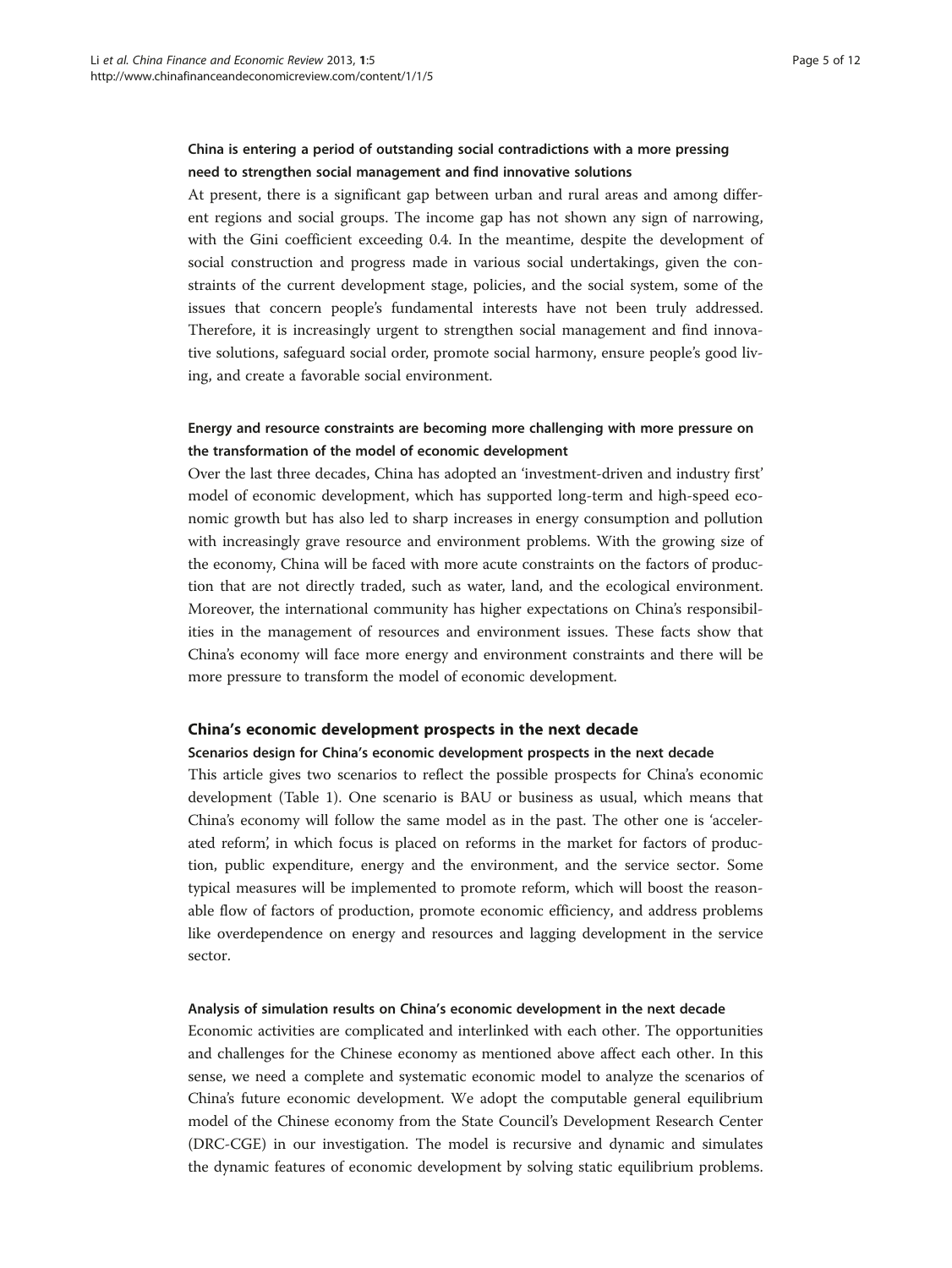# China is entering a period of outstanding social contradictions with a more pressing need to strengthen social management and find innovative solutions

At present, there is a significant gap between urban and rural areas and among different regions and social groups. The income gap has not shown any sign of narrowing, with the Gini coefficient exceeding 0.4. In the meantime, despite the development of social construction and progress made in various social undertakings, given the constraints of the current development stage, policies, and the social system, some of the issues that concern people's fundamental interests have not been truly addressed. Therefore, it is increasingly urgent to strengthen social management and find innovative solutions, safeguard social order, promote social harmony, ensure people's good living, and create a favorable social environment.

# Energy and resource constraints are becoming more challenging with more pressure on the transformation of the model of economic development

Over the last three decades, China has adopted an 'investment-driven and industry first' model of economic development, which has supported long-term and high-speed economic growth but has also led to sharp increases in energy consumption and pollution with increasingly grave resource and environment problems. With the growing size of the economy, China will be faced with more acute constraints on the factors of production that are not directly traded, such as water, land, and the ecological environment. Moreover, the international community has higher expectations on China's responsibilities in the management of resources and environment issues. These facts show that China's economy will face more energy and environment constraints and there will be more pressure to transform the model of economic development.

#### China's economic development prospects in the next decade

#### Scenarios design for China's economic development prospects in the next decade

This article gives two scenarios to reflect the possible prospects for China's economic development (Table [1\)](#page-5-0). One scenario is BAU or business as usual, which means that China's economy will follow the same model as in the past. The other one is 'accelerated reform', in which focus is placed on reforms in the market for factors of production, public expenditure, energy and the environment, and the service sector. Some typical measures will be implemented to promote reform, which will boost the reasonable flow of factors of production, promote economic efficiency, and address problems like overdependence on energy and resources and lagging development in the service sector.

#### Analysis of simulation results on China's economic development in the next decade

Economic activities are complicated and interlinked with each other. The opportunities and challenges for the Chinese economy as mentioned above affect each other. In this sense, we need a complete and systematic economic model to analyze the scenarios of China's future economic development. We adopt the computable general equilibrium model of the Chinese economy from the State Council's Development Research Center (DRC-CGE) in our investigation. The model is recursive and dynamic and simulates the dynamic features of economic development by solving static equilibrium problems.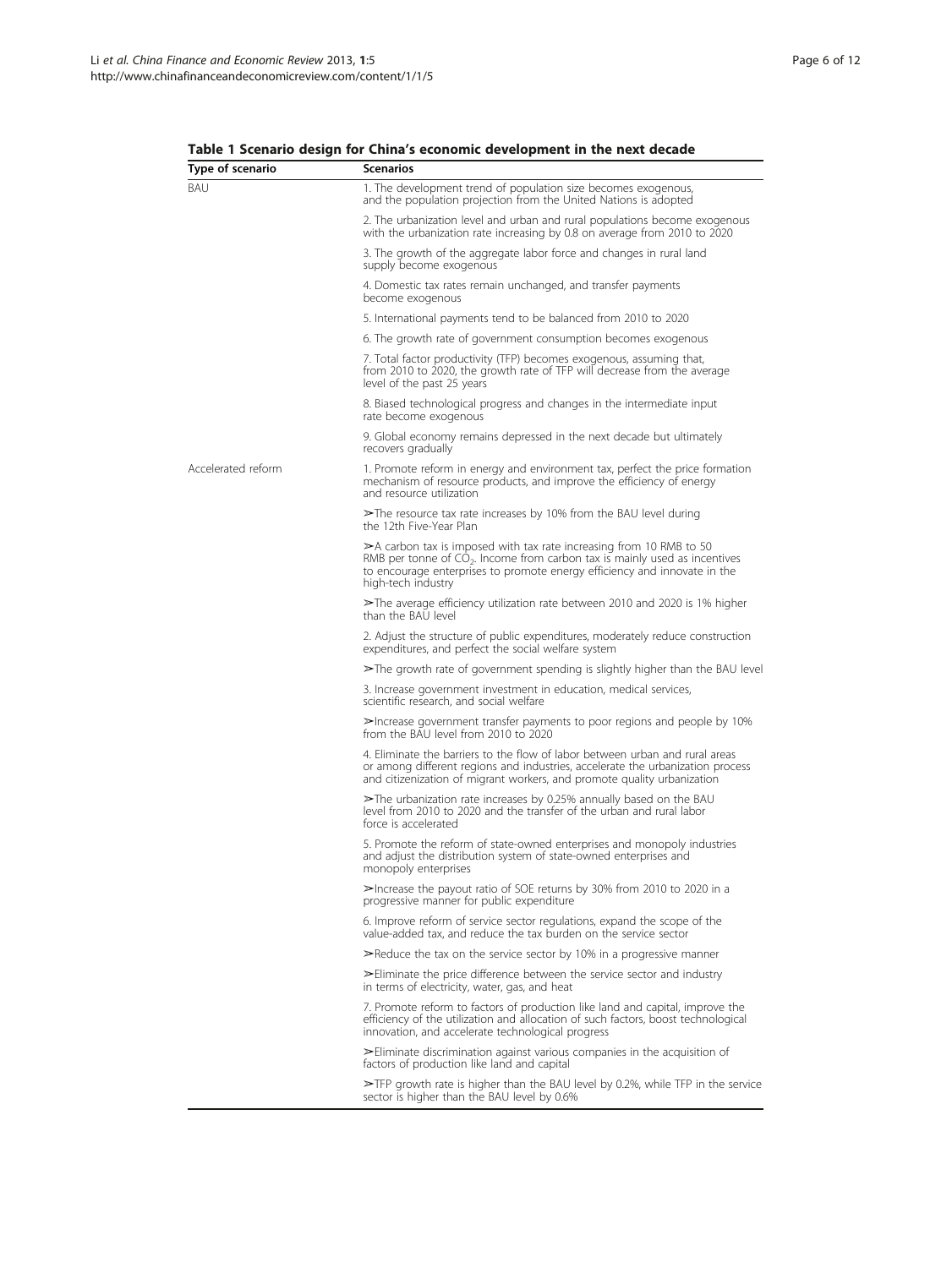<span id="page-5-0"></span>

| Type of scenario   | <b>Scenarios</b>                                                                                                                                                                                                                                             |
|--------------------|--------------------------------------------------------------------------------------------------------------------------------------------------------------------------------------------------------------------------------------------------------------|
| <b>BAU</b>         | 1. The development trend of population size becomes exogenous,<br>and the population projection from the United Nations is adopted                                                                                                                           |
|                    | 2. The urbanization level and urban and rural populations become exogenous<br>with the urbanization rate increasing by 0.8 on average from 2010 to 2020                                                                                                      |
|                    | 3. The growth of the aggregate labor force and changes in rural land<br>supply become exogenous                                                                                                                                                              |
|                    | 4. Domestic tax rates remain unchanged, and transfer payments<br>become exogenous                                                                                                                                                                            |
|                    | 5. International payments tend to be balanced from 2010 to 2020                                                                                                                                                                                              |
|                    | 6. The growth rate of government consumption becomes exogenous                                                                                                                                                                                               |
|                    | 7. Total factor productivity (TFP) becomes exogenous, assuming that,<br>from 2010 to 2020, the growth rate of TFP will decrease from the average<br>level of the past 25 years                                                                               |
|                    | 8. Biased technological progress and changes in the intermediate input<br>rate become exogenous                                                                                                                                                              |
|                    | 9. Global economy remains depressed in the next decade but ultimately<br>recovers gradually                                                                                                                                                                  |
| Accelerated reform | 1. Promote reform in energy and environment tax, perfect the price formation<br>mechanism of resource products, and improve the efficiency of energy<br>and resource utilization                                                                             |
|                    | The resource tax rate increases by 10% from the BAU level during<br>the 12th Five-Year Plan                                                                                                                                                                  |
|                    | $\geq$ A carbon tax is imposed with tax rate increasing from 10 RMB to 50<br>RMB per tonne of $CO2$ . Income from carbon tax is mainly used as incentives<br>to encourage enterprises to promote energy efficiency and innovate in the<br>high-tech industry |
|                    | ≻The average efficiency utilization rate between 2010 and 2020 is 1% higher<br>than the BAU level                                                                                                                                                            |
|                    | 2. Adjust the structure of public expenditures, moderately reduce construction<br>expenditures, and perfect the social welfare system                                                                                                                        |
|                    | >The growth rate of government spending is slightly higher than the BAU level                                                                                                                                                                                |
|                    | 3. Increase government investment in education, medical services,<br>scientific research, and social welfare                                                                                                                                                 |
|                    | $\ge$ Increase government transfer payments to poor regions and people by 10%<br>from the BAU level from 2010 to 2020                                                                                                                                        |
|                    | 4. Eliminate the barriers to the flow of labor between urban and rural areas<br>or among different regions and industries, accelerate the urbanization process<br>and citizenization of migrant workers, and promote quality urbanization                    |
|                    | $\blacktriangleright$ The urbanization rate increases by 0.25% annually based on the BAU<br>level from 2010 to 2020 and the transfer of the urban and rural labor<br>force is accelerated                                                                    |
|                    | 5. Promote the reform of state-owned enterprises and monopoly industries<br>and adjust the distribution system of state-owned enterprises and<br>monopoly enterprises                                                                                        |
|                    | $\ge$ Increase the payout ratio of SOE returns by 30% from 2010 to 2020 in a<br>progressive manner for public expenditure                                                                                                                                    |
|                    | 6. Improve reform of service sector regulations, expand the scope of the<br>value-added tax, and reduce the tax burden on the service sector                                                                                                                 |
|                    | $\geq$ Reduce the tax on the service sector by 10% in a progressive manner                                                                                                                                                                                   |
|                    | Eliminate the price difference between the service sector and industry<br>in terms of electricity, water, gas, and heat                                                                                                                                      |
|                    | 7. Promote reform to factors of production like land and capital, improve the<br>efficiency of the utilization and allocation of such factors, boost technological<br>innovation, and accelerate technological progress                                      |
|                    | $\geq$ Eliminate discrimination against various companies in the acquisition of<br>factors of production like land and capital                                                                                                                               |
|                    | $\blacktriangleright$ TFP growth rate is higher than the BAU level by 0.2%, while TFP in the service<br>sector is higher than the BAU level by 0.6%                                                                                                          |

#### Table 1 Scenario design for China's economic development in the next decade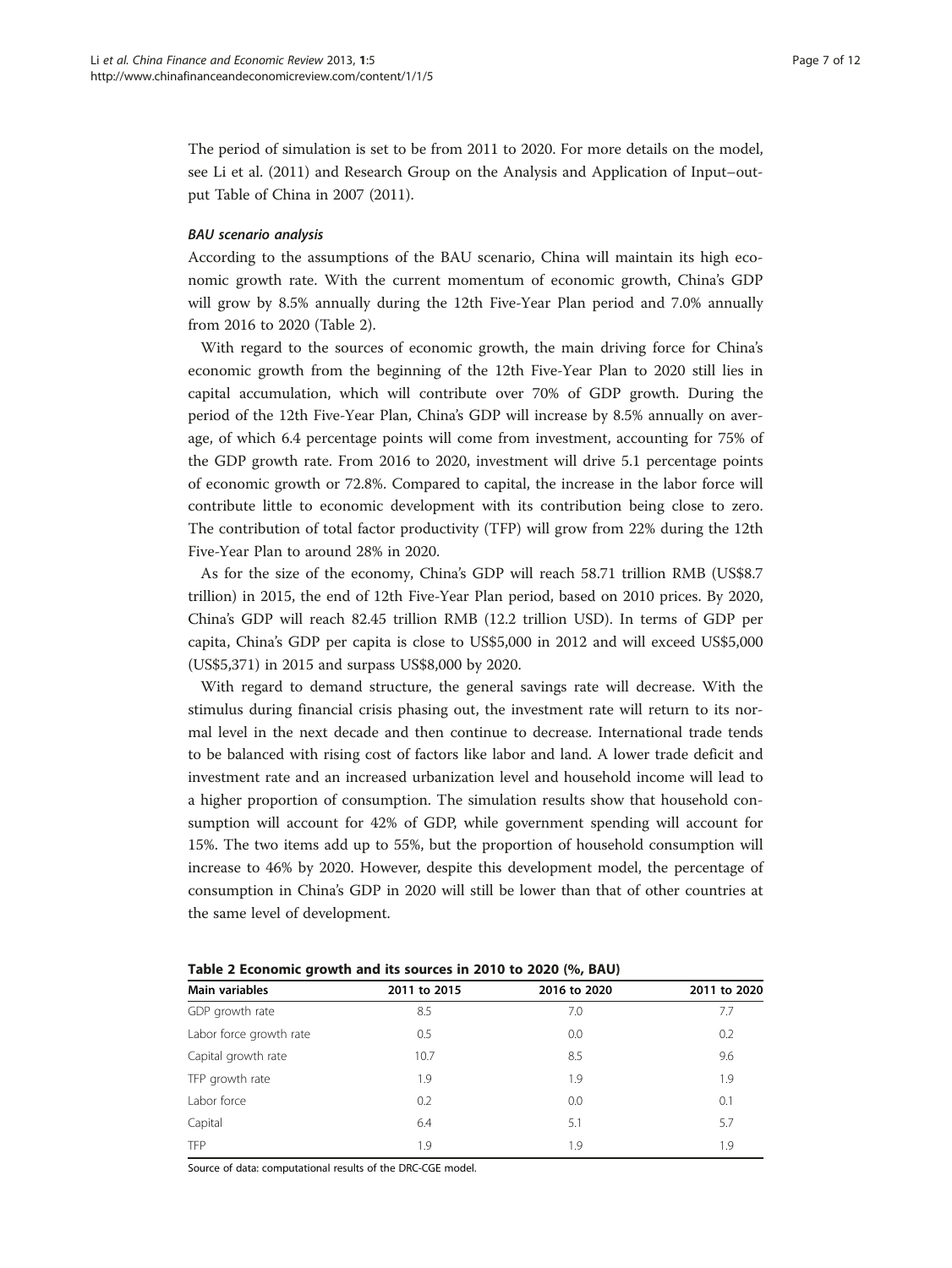The period of simulation is set to be from 2011 to 2020. For more details on the model, see Li et al. [\(2011\)](#page-10-0) and Research Group on the Analysis and Application of Input–output Table of China in 2007 [\(2011\)](#page-11-0).

#### BAU scenario analysis

According to the assumptions of the BAU scenario, China will maintain its high economic growth rate. With the current momentum of economic growth, China's GDP will grow by 8.5% annually during the 12th Five-Year Plan period and 7.0% annually from 2016 to 2020 (Table 2).

With regard to the sources of economic growth, the main driving force for China's economic growth from the beginning of the 12th Five-Year Plan to 2020 still lies in capital accumulation, which will contribute over 70% of GDP growth. During the period of the 12th Five-Year Plan, China's GDP will increase by 8.5% annually on average, of which 6.4 percentage points will come from investment, accounting for 75% of the GDP growth rate. From 2016 to 2020, investment will drive 5.1 percentage points of economic growth or 72.8%. Compared to capital, the increase in the labor force will contribute little to economic development with its contribution being close to zero. The contribution of total factor productivity (TFP) will grow from 22% during the 12th Five-Year Plan to around 28% in 2020.

As for the size of the economy, China's GDP will reach 58.71 trillion RMB (US\$8.7 trillion) in 2015, the end of 12th Five-Year Plan period, based on 2010 prices. By 2020, China's GDP will reach 82.45 trillion RMB (12.2 trillion USD). In terms of GDP per capita, China's GDP per capita is close to US\$5,000 in 2012 and will exceed US\$5,000 (US\$5,371) in 2015 and surpass US\$8,000 by 2020.

With regard to demand structure, the general savings rate will decrease. With the stimulus during financial crisis phasing out, the investment rate will return to its normal level in the next decade and then continue to decrease. International trade tends to be balanced with rising cost of factors like labor and land. A lower trade deficit and investment rate and an increased urbanization level and household income will lead to a higher proportion of consumption. The simulation results show that household consumption will account for 42% of GDP, while government spending will account for 15%. The two items add up to 55%, but the proportion of household consumption will increase to 46% by 2020. However, despite this development model, the percentage of consumption in China's GDP in 2020 will still be lower than that of other countries at the same level of development.

| <b>Main variables</b>   | 2011 to 2015 | 2016 to 2020 | 2011 to 2020 |
|-------------------------|--------------|--------------|--------------|
| GDP growth rate         | 8.5          | 7.0          | 7.7          |
| Labor force growth rate | 0.5          | 0.0          | 0.2          |
| Capital growth rate     | 10.7         | 8.5          | 9.6          |
| TFP growth rate         | 1.9          | 1.9          | 1.9          |
| Labor force             | 0.2          | 0.0          | 0.1          |
| Capital                 | 6.4          | 5.1          | 5.7          |
| <b>TFP</b>              | 1.9          | 1.9          | 1.9          |
|                         |              |              |              |

Table 2 Economic growth and its sources in 2010 to 2020 (%, BAU)

Source of data: computational results of the DRC-CGE model.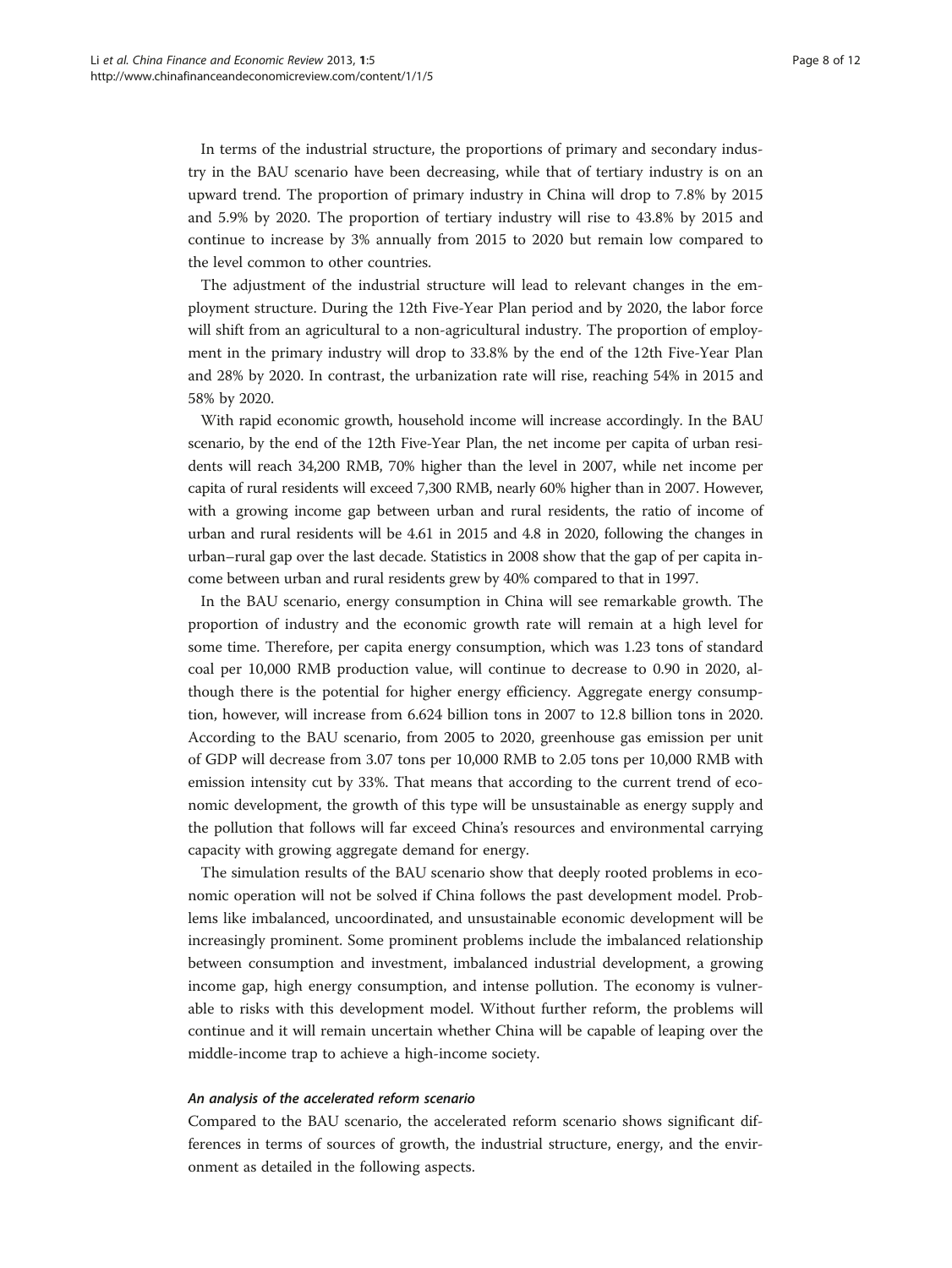In terms of the industrial structure, the proportions of primary and secondary industry in the BAU scenario have been decreasing, while that of tertiary industry is on an upward trend. The proportion of primary industry in China will drop to 7.8% by 2015 and 5.9% by 2020. The proportion of tertiary industry will rise to 43.8% by 2015 and continue to increase by 3% annually from 2015 to 2020 but remain low compared to the level common to other countries.

The adjustment of the industrial structure will lead to relevant changes in the employment structure. During the 12th Five-Year Plan period and by 2020, the labor force will shift from an agricultural to a non-agricultural industry. The proportion of employment in the primary industry will drop to 33.8% by the end of the 12th Five-Year Plan and 28% by 2020. In contrast, the urbanization rate will rise, reaching 54% in 2015 and 58% by 2020.

With rapid economic growth, household income will increase accordingly. In the BAU scenario, by the end of the 12th Five-Year Plan, the net income per capita of urban residents will reach 34,200 RMB, 70% higher than the level in 2007, while net income per capita of rural residents will exceed 7,300 RMB, nearly 60% higher than in 2007. However, with a growing income gap between urban and rural residents, the ratio of income of urban and rural residents will be 4.61 in 2015 and 4.8 in 2020, following the changes in urban–rural gap over the last decade. Statistics in 2008 show that the gap of per capita income between urban and rural residents grew by 40% compared to that in 1997.

In the BAU scenario, energy consumption in China will see remarkable growth. The proportion of industry and the economic growth rate will remain at a high level for some time. Therefore, per capita energy consumption, which was 1.23 tons of standard coal per 10,000 RMB production value, will continue to decrease to 0.90 in 2020, although there is the potential for higher energy efficiency. Aggregate energy consumption, however, will increase from 6.624 billion tons in 2007 to 12.8 billion tons in 2020. According to the BAU scenario, from 2005 to 2020, greenhouse gas emission per unit of GDP will decrease from 3.07 tons per 10,000 RMB to 2.05 tons per 10,000 RMB with emission intensity cut by 33%. That means that according to the current trend of economic development, the growth of this type will be unsustainable as energy supply and the pollution that follows will far exceed China's resources and environmental carrying capacity with growing aggregate demand for energy.

The simulation results of the BAU scenario show that deeply rooted problems in economic operation will not be solved if China follows the past development model. Problems like imbalanced, uncoordinated, and unsustainable economic development will be increasingly prominent. Some prominent problems include the imbalanced relationship between consumption and investment, imbalanced industrial development, a growing income gap, high energy consumption, and intense pollution. The economy is vulnerable to risks with this development model. Without further reform, the problems will continue and it will remain uncertain whether China will be capable of leaping over the middle-income trap to achieve a high-income society.

#### An analysis of the accelerated reform scenario

Compared to the BAU scenario, the accelerated reform scenario shows significant differences in terms of sources of growth, the industrial structure, energy, and the environment as detailed in the following aspects.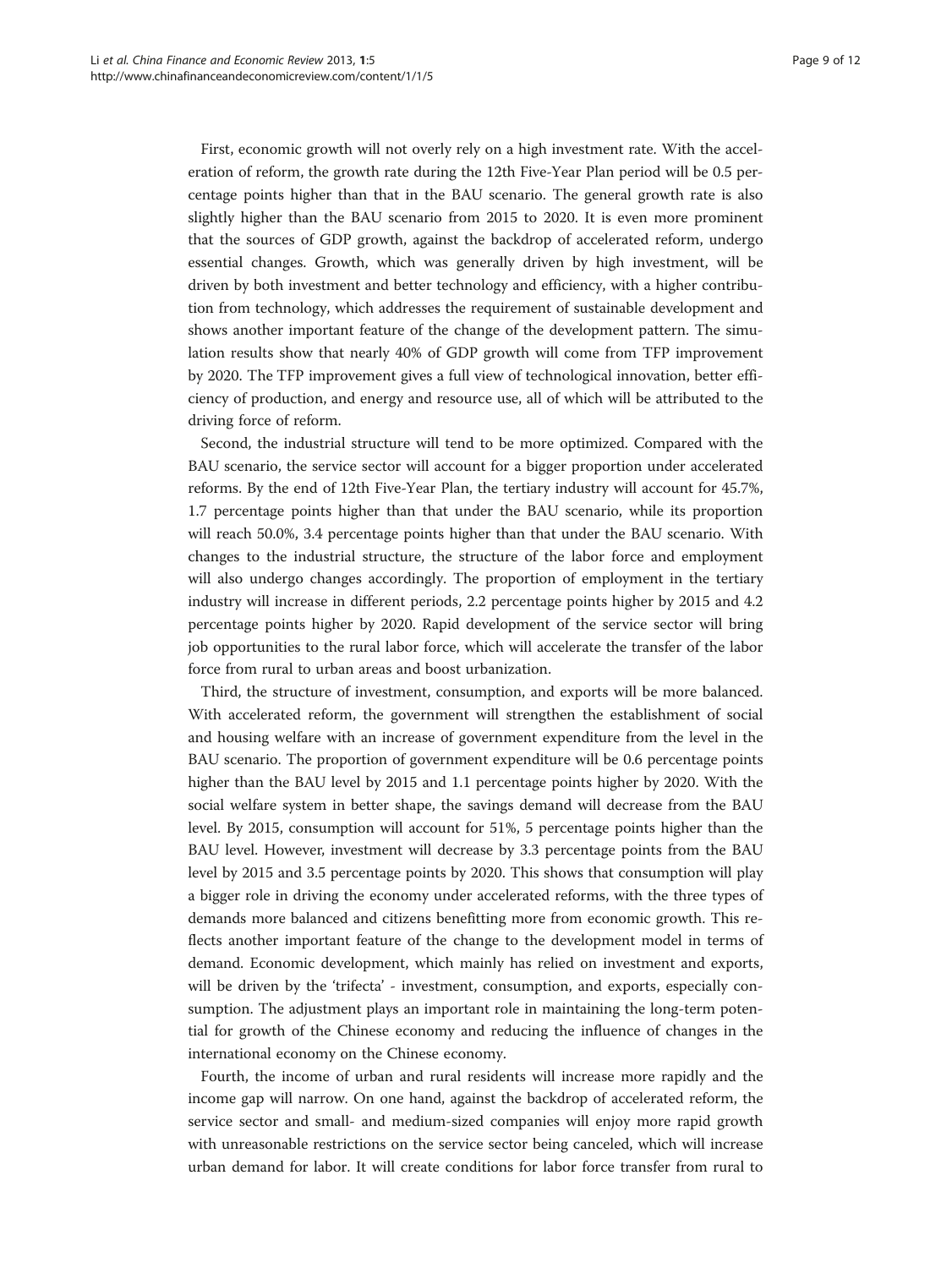First, economic growth will not overly rely on a high investment rate. With the acceleration of reform, the growth rate during the 12th Five-Year Plan period will be 0.5 percentage points higher than that in the BAU scenario. The general growth rate is also slightly higher than the BAU scenario from 2015 to 2020. It is even more prominent that the sources of GDP growth, against the backdrop of accelerated reform, undergo essential changes. Growth, which was generally driven by high investment, will be driven by both investment and better technology and efficiency, with a higher contribution from technology, which addresses the requirement of sustainable development and shows another important feature of the change of the development pattern. The simulation results show that nearly 40% of GDP growth will come from TFP improvement by 2020. The TFP improvement gives a full view of technological innovation, better efficiency of production, and energy and resource use, all of which will be attributed to the driving force of reform.

Second, the industrial structure will tend to be more optimized. Compared with the BAU scenario, the service sector will account for a bigger proportion under accelerated reforms. By the end of 12th Five-Year Plan, the tertiary industry will account for 45.7%, 1.7 percentage points higher than that under the BAU scenario, while its proportion will reach 50.0%, 3.4 percentage points higher than that under the BAU scenario. With changes to the industrial structure, the structure of the labor force and employment will also undergo changes accordingly. The proportion of employment in the tertiary industry will increase in different periods, 2.2 percentage points higher by 2015 and 4.2 percentage points higher by 2020. Rapid development of the service sector will bring job opportunities to the rural labor force, which will accelerate the transfer of the labor force from rural to urban areas and boost urbanization.

Third, the structure of investment, consumption, and exports will be more balanced. With accelerated reform, the government will strengthen the establishment of social and housing welfare with an increase of government expenditure from the level in the BAU scenario. The proportion of government expenditure will be 0.6 percentage points higher than the BAU level by 2015 and 1.1 percentage points higher by 2020. With the social welfare system in better shape, the savings demand will decrease from the BAU level. By 2015, consumption will account for 51%, 5 percentage points higher than the BAU level. However, investment will decrease by 3.3 percentage points from the BAU level by 2015 and 3.5 percentage points by 2020. This shows that consumption will play a bigger role in driving the economy under accelerated reforms, with the three types of demands more balanced and citizens benefitting more from economic growth. This reflects another important feature of the change to the development model in terms of demand. Economic development, which mainly has relied on investment and exports, will be driven by the 'trifecta' - investment, consumption, and exports, especially consumption. The adjustment plays an important role in maintaining the long-term potential for growth of the Chinese economy and reducing the influence of changes in the international economy on the Chinese economy.

Fourth, the income of urban and rural residents will increase more rapidly and the income gap will narrow. On one hand, against the backdrop of accelerated reform, the service sector and small- and medium-sized companies will enjoy more rapid growth with unreasonable restrictions on the service sector being canceled, which will increase urban demand for labor. It will create conditions for labor force transfer from rural to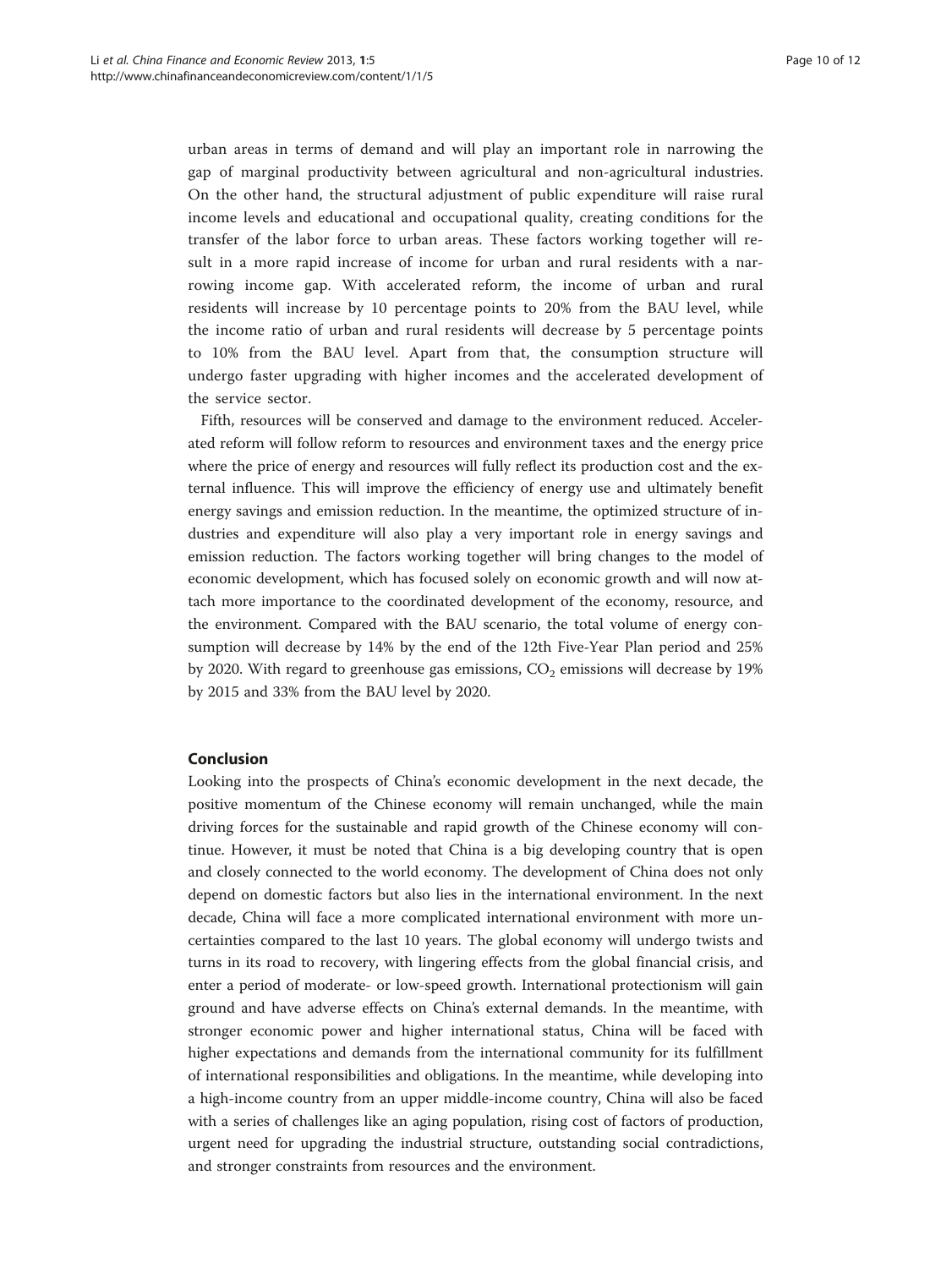urban areas in terms of demand and will play an important role in narrowing the gap of marginal productivity between agricultural and non-agricultural industries. On the other hand, the structural adjustment of public expenditure will raise rural income levels and educational and occupational quality, creating conditions for the transfer of the labor force to urban areas. These factors working together will result in a more rapid increase of income for urban and rural residents with a narrowing income gap. With accelerated reform, the income of urban and rural residents will increase by 10 percentage points to 20% from the BAU level, while the income ratio of urban and rural residents will decrease by 5 percentage points to 10% from the BAU level. Apart from that, the consumption structure will undergo faster upgrading with higher incomes and the accelerated development of the service sector.

Fifth, resources will be conserved and damage to the environment reduced. Accelerated reform will follow reform to resources and environment taxes and the energy price where the price of energy and resources will fully reflect its production cost and the external influence. This will improve the efficiency of energy use and ultimately benefit energy savings and emission reduction. In the meantime, the optimized structure of industries and expenditure will also play a very important role in energy savings and emission reduction. The factors working together will bring changes to the model of economic development, which has focused solely on economic growth and will now attach more importance to the coordinated development of the economy, resource, and the environment. Compared with the BAU scenario, the total volume of energy consumption will decrease by 14% by the end of the 12th Five-Year Plan period and 25% by 2020. With regard to greenhouse gas emissions,  $CO<sub>2</sub>$  emissions will decrease by 19% by 2015 and 33% from the BAU level by 2020.

### Conclusion

Looking into the prospects of China's economic development in the next decade, the positive momentum of the Chinese economy will remain unchanged, while the main driving forces for the sustainable and rapid growth of the Chinese economy will continue. However, it must be noted that China is a big developing country that is open and closely connected to the world economy. The development of China does not only depend on domestic factors but also lies in the international environment. In the next decade, China will face a more complicated international environment with more uncertainties compared to the last 10 years. The global economy will undergo twists and turns in its road to recovery, with lingering effects from the global financial crisis, and enter a period of moderate- or low-speed growth. International protectionism will gain ground and have adverse effects on China's external demands. In the meantime, with stronger economic power and higher international status, China will be faced with higher expectations and demands from the international community for its fulfillment of international responsibilities and obligations. In the meantime, while developing into a high-income country from an upper middle-income country, China will also be faced with a series of challenges like an aging population, rising cost of factors of production, urgent need for upgrading the industrial structure, outstanding social contradictions, and stronger constraints from resources and the environment.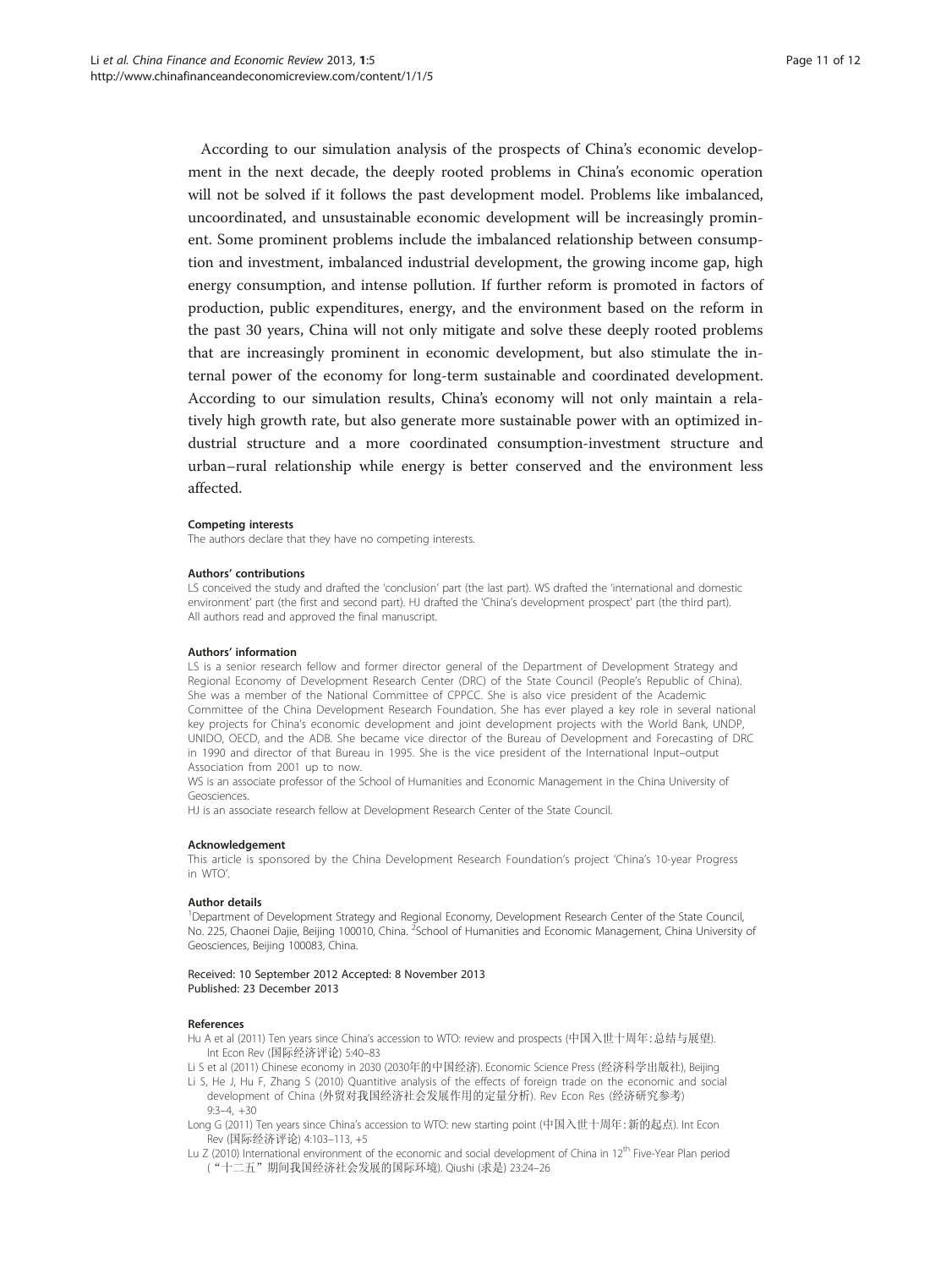<span id="page-10-0"></span>According to our simulation analysis of the prospects of China's economic development in the next decade, the deeply rooted problems in China's economic operation will not be solved if it follows the past development model. Problems like imbalanced, uncoordinated, and unsustainable economic development will be increasingly prominent. Some prominent problems include the imbalanced relationship between consumption and investment, imbalanced industrial development, the growing income gap, high energy consumption, and intense pollution. If further reform is promoted in factors of production, public expenditures, energy, and the environment based on the reform in the past 30 years, China will not only mitigate and solve these deeply rooted problems that are increasingly prominent in economic development, but also stimulate the internal power of the economy for long-term sustainable and coordinated development. According to our simulation results, China's economy will not only maintain a relatively high growth rate, but also generate more sustainable power with an optimized industrial structure and a more coordinated consumption-investment structure and urban–rural relationship while energy is better conserved and the environment less affected.

#### Competing interests

The authors declare that they have no competing interests.

#### Authors' contributions

LS conceived the study and drafted the 'conclusion' part (the last part). WS drafted the 'international and domestic environment' part (the first and second part). HJ drafted the 'China's development prospect' part (the third part). All authors read and approved the final manuscript.

#### Authors' information

LS is a senior research fellow and former director general of the Department of Development Strategy and Regional Economy of Development Research Center (DRC) of the State Council (People's Republic of China). She was a member of the National Committee of CPPCC. She is also vice president of the Academic Committee of the China Development Research Foundation. She has ever played a key role in several national key projects for China's economic development and joint development projects with the World Bank, UNDP, UNIDO, OECD, and the ADB. She became vice director of the Bureau of Development and Forecasting of DRC in 1990 and director of that Bureau in 1995. She is the vice president of the International Input–output Association from 2001 up to now.

WS is an associate professor of the School of Humanities and Economic Management in the China University of Geosciences.

HJ is an associate research fellow at Development Research Center of the State Council.

#### Acknowledgement

This article is sponsored by the China Development Research Foundation's project 'China's 10-year Progress in WTO'.

#### Author details

<sup>1</sup>Department of Development Strategy and Regional Economy, Development Research Center of the State Council, No. 225, Chaonei Dajie, Beijing 100010, China. <sup>2</sup>School of Humanities and Economic Management, China University of Geosciences, Beijing 100083, China.

#### Received: 10 September 2012 Accepted: 8 November 2013 Published: 23 December 2013

#### References

- Hu A et al (2011) Ten years since China's accession to WTO: review and prospects (中国入世十周年:总结与展望). Int Econ Rev (国际经济评论) 5:40–83
- Li S et al (2011) Chinese economy in 2030 (2030年的中国经济). Economic Science Press (经济科学出版社), Beijing
- Li S, He J, Hu F, Zhang S (2010) Quantitive analysis of the effects of foreign trade on the economic and social development of China (外贸对我国经济社会发展作用的定量分析). Rev Econ Res (经济研究参考)  $9:3-4, +30$
- Long G (2011) Ten years since China's accession to WTO: new starting point (中国入世十周年:新的起点). Int Econ Rev (国际经济评论) 4:103–113, +5
- Lu Z (2010) International environment of the economic and social development of China in 12<sup>th</sup> Five-Year Plan period ("十二五"期间我国经济社会发展的国际环境). Qiushi (求是) 23:24–26